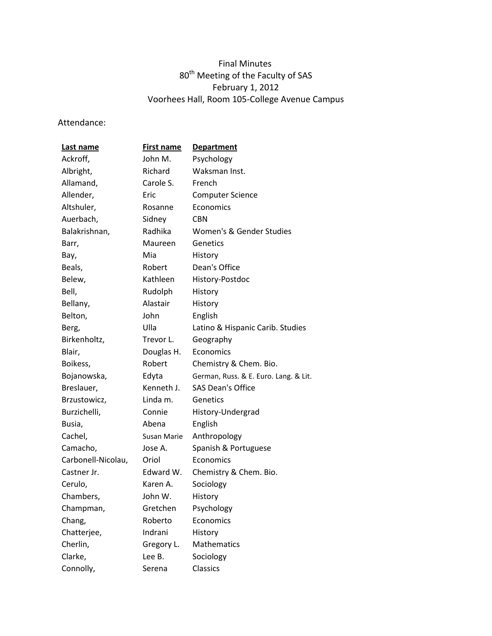## Final Minutes 80<sup>th</sup> Meeting of the Faculty of SAS February 1, 2012 Voorhees Hall, Room 105-College Avenue Campus

## Attendance:

| Last name          | <b>First name</b> | <b>Department</b>                     |  |
|--------------------|-------------------|---------------------------------------|--|
| Ackroff,           | John M.           | Psychology                            |  |
| Albright,          | Richard           | Waksman Inst.                         |  |
| Allamand,          | Carole S.         | French                                |  |
| Allender,          | Eric              | <b>Computer Science</b>               |  |
| Altshuler,         | Rosanne           | Economics                             |  |
| Auerbach,          | Sidney            | CBN                                   |  |
| Balakrishnan,      | Radhika           | Women's & Gender Studies              |  |
| Barr,              | Maureen           | Genetics                              |  |
| Bay,               | Mia               | History                               |  |
| Beals,             | Robert            | Dean's Office                         |  |
| Belew,             | Kathleen          | History-Postdoc                       |  |
| Bell,              | Rudolph           | History                               |  |
| Bellany,           | Alastair          | History                               |  |
| Belton,            | John              | English                               |  |
| Berg,              | Ulla              | Latino & Hispanic Carib. Studies      |  |
| Birkenholtz,       | Trevor L.         | Geography                             |  |
| Blair,             | Douglas H.        | Economics                             |  |
| Boikess,           | Robert            | Chemistry & Chem. Bio.                |  |
| Bojanowska,        | Edyta             | German, Russ. & E. Euro. Lang. & Lit. |  |
| Breslauer,         | Kenneth J.        | <b>SAS Dean's Office</b>              |  |
| Brzustowicz,       | Linda m.          | Genetics                              |  |
| Burzichelli,       | Connie            | History-Undergrad                     |  |
| Busia,             | Abena             | English                               |  |
| Cachel,            | Susan Marie       | Anthropology                          |  |
| Camacho,           | Jose A.           | Spanish & Portuguese                  |  |
| Carbonell-Nicolau, | Oriol             | Economics                             |  |
| Castner Jr.        | Edward W.         | Chemistry & Chem. Bio.                |  |
| Cerulo,            | Karen A.          | Sociology                             |  |
| Chambers,          | John W.           | History                               |  |
| Champman,          | Gretchen          | Psychology                            |  |
| Chang,             | Roberto           | Economics                             |  |
| Chatterjee,        | Indrani           | History                               |  |
| Cherlin,           | Gregory L.        | <b>Mathematics</b>                    |  |
| Clarke,            | Lee B.            | Sociology                             |  |
| Connolly,          | Serena            | Classics                              |  |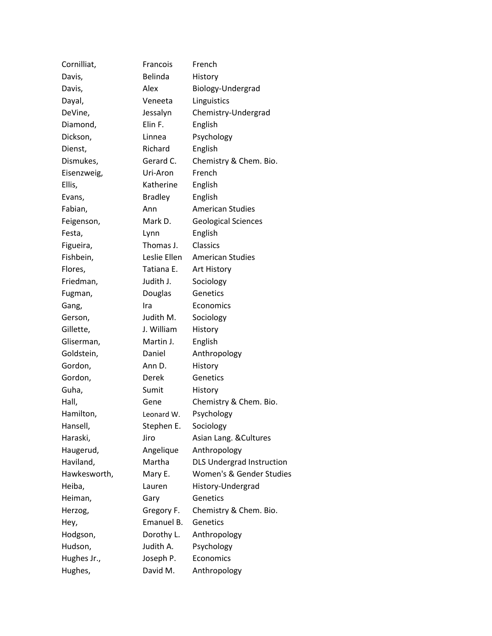| Cornilliat,  | Francois       | French                           |
|--------------|----------------|----------------------------------|
| Davis,       | <b>Belinda</b> | History                          |
| Davis,       | Alex           | Biology-Undergrad                |
| Dayal,       | Veneeta        | Linguistics                      |
| DeVine,      | Jessalyn       | Chemistry-Undergrad              |
| Diamond,     | Elin F.        | English                          |
| Dickson,     | Linnea         | Psychology                       |
| Dienst,      | Richard        | English                          |
| Dismukes,    | Gerard C.      | Chemistry & Chem. Bio.           |
| Eisenzweig,  | Uri-Aron       | French                           |
| Ellis,       | Katherine      | English                          |
| Evans,       | <b>Bradley</b> | English                          |
| Fabian,      | Ann            | <b>American Studies</b>          |
| Feigenson,   | Mark D.        | <b>Geological Sciences</b>       |
| Festa,       | Lynn           | English                          |
| Figueira,    | Thomas J.      | Classics                         |
| Fishbein,    | Leslie Ellen   | <b>American Studies</b>          |
| Flores,      | Tatiana E.     | Art History                      |
| Friedman,    | Judith J.      | Sociology                        |
| Fugman,      | Douglas        | Genetics                         |
| Gang,        | Ira            | Economics                        |
| Gerson,      | Judith M.      | Sociology                        |
| Gillette,    | J. William     | History                          |
| Gliserman,   | Martin J.      | English                          |
| Goldstein,   | Daniel         | Anthropology                     |
| Gordon,      | Ann D.         | History                          |
| Gordon,      | Derek          | Genetics                         |
| Guha,        | Sumit          | History                          |
| Hall,        | Gene           | Chemistry & Chem. Bio.           |
| Hamilton,    | Leonard W.     | Psychology                       |
| Hansell,     | Stephen E.     | Sociology                        |
| Haraski,     | Jiro           | Asian Lang. & Cultures           |
| Haugerud,    | Angelique      | Anthropology                     |
| Haviland,    | Martha         | <b>DLS Undergrad Instruction</b> |
| Hawkesworth, | Mary E.        | Women's & Gender Studies         |
| Heiba,       | Lauren         | History-Undergrad                |
| Heiman,      | Gary           | Genetics                         |
| Herzog,      | Gregory F.     | Chemistry & Chem. Bio.           |
| Hey,         | Emanuel B.     | Genetics                         |
| Hodgson,     | Dorothy L.     | Anthropology                     |
| Hudson,      | Judith A.      | Psychology                       |
| Hughes Jr.,  | Joseph P.      | Economics                        |
| Hughes,      | David M.       | Anthropology                     |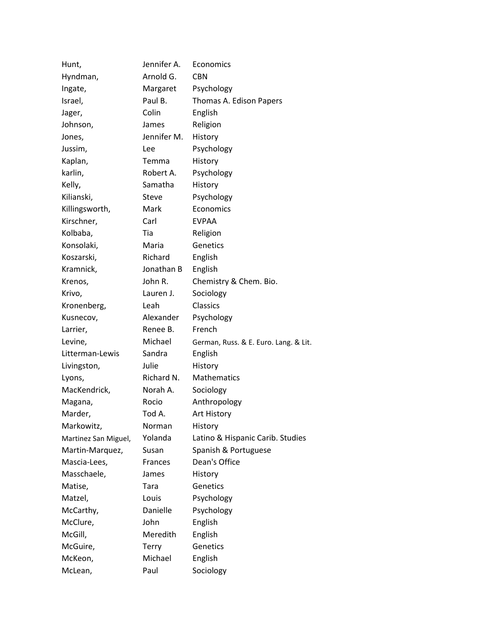| Hunt,                | Jennifer A.  | Economics                             |
|----------------------|--------------|---------------------------------------|
| Hyndman,             | Arnold G.    | <b>CBN</b>                            |
| Ingate,              | Margaret     | Psychology                            |
| Israel,              | Paul B.      | Thomas A. Edison Papers               |
| Jager,               | Colin        | English                               |
| Johnson,             | James        | Religion                              |
| Jones,               | Jennifer M.  | History                               |
| Jussim,              | Lee          | Psychology                            |
| Kaplan,              | Temma        | History                               |
| karlin,              | Robert A.    | Psychology                            |
| Kelly,               | Samatha      | History                               |
| Kilianski,           | <b>Steve</b> | Psychology                            |
| Killingsworth,       | Mark         | Economics                             |
| Kirschner,           | Carl         | <b>EVPAA</b>                          |
| Kolbaba,             | Tia          | Religion                              |
| Konsolaki,           | Maria        | Genetics                              |
| Koszarski,           | Richard      | English                               |
| Kramnick,            | Jonathan B   | English                               |
| Krenos,              | John R.      | Chemistry & Chem. Bio.                |
| Krivo,               | Lauren J.    | Sociology                             |
| Kronenberg,          | Leah         | Classics                              |
| Kusnecov,            | Alexander    | Psychology                            |
| Larrier,             | Renee B.     | French                                |
| Levine,              | Michael      | German, Russ. & E. Euro. Lang. & Lit. |
| Litterman-Lewis      | Sandra       | English                               |
| Livingston,          | Julie        | History                               |
| Lyons,               | Richard N.   | <b>Mathematics</b>                    |
| MacKendrick,         | Norah A.     | Sociology                             |
| Magana,              | Rocio        | Anthropology                          |
| Marder,              | Tod A.       | Art History                           |
| Markowitz,           | Norman       | History                               |
| Martinez San Miguel, | Yolanda      | Latino & Hispanic Carib. Studies      |
| Martin-Marquez,      | Susan        | Spanish & Portuguese                  |
| Mascia-Lees,         | Frances      | Dean's Office                         |
| Masschaele,          | James        | History                               |
| Matise,              | Tara         | Genetics                              |
| Matzel,              | Louis        | Psychology                            |
| McCarthy,            | Danielle     | Psychology                            |
| McClure,             | John         | English                               |
| McGill,              | Meredith     | English                               |
| McGuire,             | <b>Terry</b> | Genetics                              |
| McKeon,              | Michael      | English                               |
| McLean,              | Paul         | Sociology                             |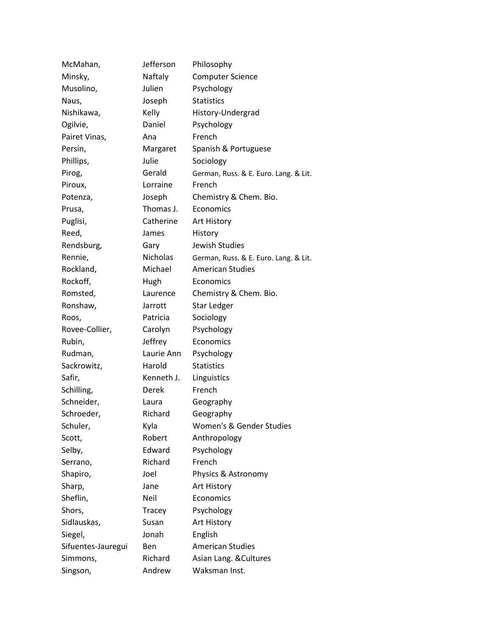| McMahan,           | Jefferson       | Philosophy                            |  |
|--------------------|-----------------|---------------------------------------|--|
| Minsky,            | Naftaly         | <b>Computer Science</b>               |  |
| Musolino,          | Julien          | Psychology                            |  |
| Naus,              | Joseph          | <b>Statistics</b>                     |  |
| Nishikawa,         | Kelly           | History-Undergrad                     |  |
| Ogilvie,           | Daniel          | Psychology                            |  |
| Pairet Vinas,      | Ana             | French                                |  |
| Persin,            | Margaret        | Spanish & Portuguese                  |  |
| Phillips,          | Julie           | Sociology                             |  |
| Pirog,             | Gerald          | German, Russ. & E. Euro. Lang. & Lit. |  |
| Piroux,            | Lorraine        | French                                |  |
| Potenza,           | Joseph          | Chemistry & Chem. Bio.                |  |
| Prusa,             | Thomas J.       | Economics                             |  |
| Puglisi,           | Catherine       | Art History                           |  |
| Reed,              | James           | History                               |  |
| Rendsburg,         | Gary            | Jewish Studies                        |  |
| Rennie,            | <b>Nicholas</b> | German, Russ. & E. Euro. Lang. & Lit. |  |
| Rockland,          | Michael         | <b>American Studies</b>               |  |
| Rockoff,           | Hugh            | Economics                             |  |
| Romsted,           | Laurence        | Chemistry & Chem. Bio.                |  |
| Ronshaw,           | Jarrott         | <b>Star Ledger</b>                    |  |
| Roos,              | Patricia        | Sociology                             |  |
| Rovee-Collier,     | Carolyn         | Psychology                            |  |
| Rubin,             | Jeffrey         | Economics                             |  |
| Rudman,            | Laurie Ann      | Psychology                            |  |
| Sackrowitz,        | Harold          | <b>Statistics</b>                     |  |
| Safir,             | Kenneth J.      | Linguistics                           |  |
| Schilling,         | Derek           | French                                |  |
| Schneider,         | Laura           | Geography                             |  |
| Schroeder,         | Richard         | Geography                             |  |
| Schuler,           | Kyla            | Women's & Gender Studies              |  |
| Scott,             | Robert          | Anthropology                          |  |
| Selby,             | Edward          | Psychology                            |  |
| Serrano,           | Richard         | French                                |  |
| Shapiro,           | Joel            | Physics & Astronomy                   |  |
| Sharp,             | Jane            | Art History                           |  |
| Sheflin,           | Neil            | Economics                             |  |
| Shors,             | Tracey          | Psychology                            |  |
| Sidlauskas,        | Susan           | Art History                           |  |
| Siegel,            | Jonah           | English                               |  |
| Sifuentes-Jauregui | Ben             | <b>American Studies</b>               |  |
| Simmons,           | Richard         | Asian Lang. & Cultures                |  |
| Singson,           | Andrew          | Waksman Inst.                         |  |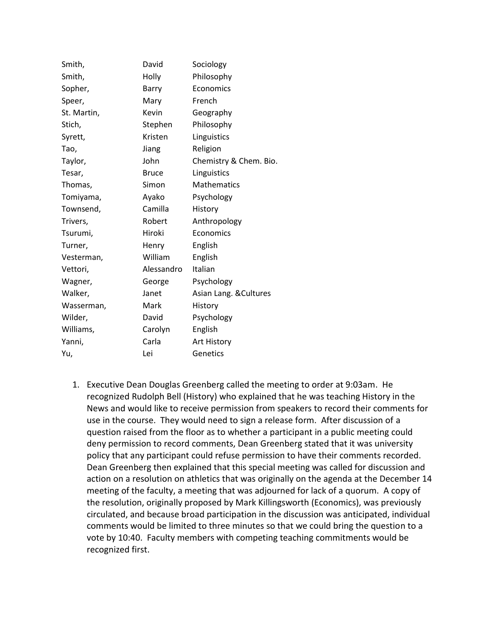| Smith,      | David        | Sociology              |
|-------------|--------------|------------------------|
| Smith,      | Holly        | Philosophy             |
| Sopher,     | Barry        | Economics              |
| Speer,      | Mary         | French                 |
| St. Martin, | Kevin        | Geography              |
| Stich,      | Stephen      | Philosophy             |
| Syrett,     | Kristen      | Linguistics            |
| Tao,        | Jiang        | Religion               |
| Taylor,     | John         | Chemistry & Chem. Bio. |
| Tesar,      | <b>Bruce</b> | Linguistics            |
| Thomas,     | Simon        | <b>Mathematics</b>     |
| Tomiyama,   | Ayako        | Psychology             |
| Townsend,   | Camilla      | History                |
| Trivers,    | Robert       | Anthropology           |
| Tsurumi,    | Hiroki       | Economics              |
| Turner,     | Henry        | English                |
| Vesterman,  | William      | English                |
| Vettori,    | Alessandro   | Italian                |
| Wagner,     | George       | Psychology             |
| Walker,     | Janet        | Asian Lang. & Cultures |
| Wasserman,  | Mark         | History                |
| Wilder,     | David        | Psychology             |
| Williams,   | Carolyn      | English                |
| Yanni,      | Carla        | Art History            |
| Yu,         | Lei          | Genetics               |

1. Executive Dean Douglas Greenberg called the meeting to order at 9:03am. He recognized Rudolph Bell (History) who explained that he was teaching History in the News and would like to receive permission from speakers to record their comments for use in the course. They would need to sign a release form. After discussion of a question raised from the floor as to whether a participant in a public meeting could deny permission to record comments, Dean Greenberg stated that it was university policy that any participant could refuse permission to have their comments recorded. Dean Greenberg then explained that this special meeting was called for discussion and action on a resolution on athletics that was originally on the agenda at the December 14 meeting of the faculty, a meeting that was adjourned for lack of a quorum. A copy of the resolution, originally proposed by Mark Killingsworth (Economics), was previously circulated, and because broad participation in the discussion was anticipated, individual comments would be limited to three minutes so that we could bring the question to a vote by 10:40. Faculty members with competing teaching commitments would be recognized first.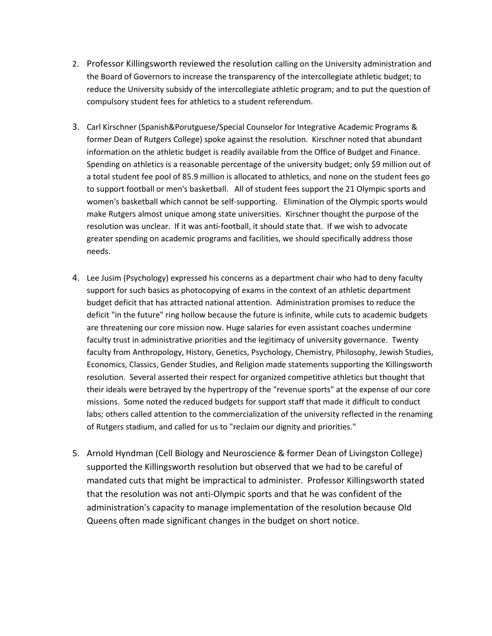- 2. Professor Killingsworth reviewed the resolution calling on the University administration and the Board of Governors to increase the transparency of the intercollegiate athletic budget; to reduce the University subsidy of the intercollegiate athletic program; and to put the question of compulsory student fees for athletics to a student referendum.
- 3. Carl Kirschner (Spanish&Porutguese/Special Counselor for Integrative Academic Programs & former Dean of Rutgers College) spoke against the resolution. Kirschner noted that abundant information on the athletic budget is readily available from the Office of Budget and Finance. Spending on athletics is a reasonable percentage of the university budget; only \$9 million out of a total student fee pool of 85.9 million is allocated to athletics, and none on the student fees go to support football or men's basketball. All of student fees support the 21 Olympic sports and women's basketball which cannot be self-supporting. Elimination of the Olympic sports would make Rutgers almost unique among state universities. Kirschner thought the purpose of the resolution was unclear. If it was anti-football, it should state that. If we wish to advocate greater spending on academic programs and facilities, we should specifically address those needs.
- 4. Lee Jusim (Psychology) expressed his concerns as a department chair who had to deny faculty support for such basics as photocopying of exams in the context of an athletic department budget deficit that has attracted national attention. Administration promises to reduce the deficit "in the future" ring hollow because the future is infinite, while cuts to academic budgets are threatening our core mission now. Huge salaries for even assistant coaches undermine faculty trust in administrative priorities and the legitimacy of university governance. Twenty faculty from Anthropology, History, Genetics, Psychology, Chemistry, Philosophy, Jewish Studies, Economics, Classics, Gender Studies, and Religion made statements supporting the Killingsworth resolution. Several asserted their respect for organized competitive athletics but thought that their ideals were betrayed by the hypertropy of the "revenue sports" at the expense of our core missions. Some noted the reduced budgets for support staff that made it difficult to conduct labs; others called attention to the commercialization of the university reflected in the renaming of Rutgers stadium, and called for us to "reclaim our dignity and priorities."
- 5. Arnold Hyndman (Cell Biology and Neuroscience & former Dean of Livingston College) supported the Killingsworth resolution but observed that we had to be careful of mandated cuts that might be impractical to administer. Professor Killingsworth stated that the resolution was not anti-Olympic sports and that he was confident of the administration's capacity to manage implementation of the resolution because Old Queens often made significant changes in the budget on short notice.